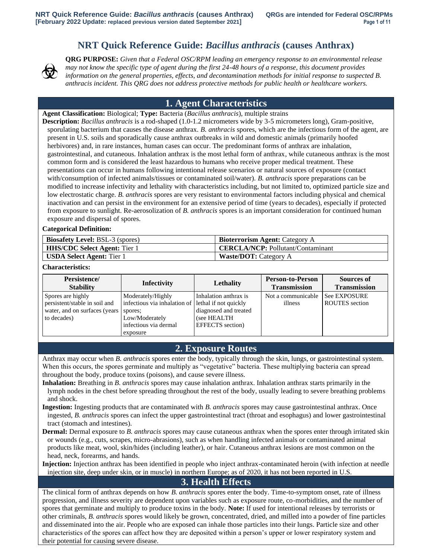# **NRT Quick Reference Guide:** *Bacillus anthracis* **(causes Anthrax)**



**QRG PURPOSE:** *Given that a Federal OSC/RPM leading an emergency response to an environmental release may not know the specific type of agent during the first 24-48 hours of a response, this document provides information on the general properties, effects, and decontamination methods for initial response to suspected B. anthracis incident. This QRG does not address protective methods for public health or healthcare workers.*

# **1. Agent Characteristics**

**Agent Classification:** Biological; **Type:** Bacteria (*Bacillus anthracis*), multiple strains

**Description:** *Bacillus anthracis* is a rod-shaped (1.0-1.2 micrometers wide by 3-5 micrometers long), Gram-positive, sporulating bacterium that causes the disease anthrax. *B. anthracis* spores, which are the infectious form of the agent, are present in U.S. soils and sporadically cause anthrax outbreaks in wild and domestic animals (primarily hoofed herbivores) and, in rare instances, human cases can occur. The predominant forms of anthrax are inhalation, gastrointestinal, and cutaneous. Inhalation anthrax is the most lethal form of anthrax, while cutaneous anthrax is the most common form and is considered the least hazardous to humans who receive proper medical treatment. These presentations can occur in humans following intentional release scenarios or natural sources of exposure (contact with/consumption of infected animals/tissues or contaminated soil/water). *B. anthracis* spore preparations can be modified to increase infectivity and lethality with characteristics including, but not limited to, optimized particle size and low electrostatic charge. *B. anthracis* spores are very resistant to environmental factors including physical and chemical inactivation and can persist in the environment for an extensive period of time (years to decades), especially if protected from exposure to sunlight. Re-aerosolization of *B. anthracis* spores is an important consideration for continued human exposure and dispersal of spores.

### **Categorical Definition:**

| <b>Biosafety Level:</b> BSL-3 (spores) | <b>Bioterrorism Agent:</b> Category A    |
|----------------------------------------|------------------------------------------|
| <b>HHS/CDC Select Agent:</b> Tier 1    | <b>CERCLA/NCP:</b> Pollutant/Contaminant |
| <b>USDA Select Agent:</b> Tier 1       | <b>Waste/DOT:</b> Category A             |

#### **Characteristics:**

| Persistence/<br><b>Stability</b> | <b>Infectivity</b>                                 | <b>Lethality</b>        | <b>Person-to-Person</b><br><b>Transmission</b> | <b>Sources of</b><br><b>Transmission</b> |
|----------------------------------|----------------------------------------------------|-------------------------|------------------------------------------------|------------------------------------------|
| Spores are highly                | Moderately/Highly                                  | Inhalation anthrax is   | Not a communicable                             | See EXPOSURE                             |
| persistent/stable in soil and    | infectious via inhalation of lethal if not quickly |                         | illness                                        | <b>ROUTES</b> section                    |
| water, and on surfaces (years)   | spores;                                            | diagnosed and treated   |                                                |                                          |
| to decades)                      | Low/Moderately                                     | (see HEALTH             |                                                |                                          |
|                                  | infectious via dermal                              | <b>EFFECTS</b> section) |                                                |                                          |
|                                  | exposure                                           |                         |                                                |                                          |

## **2. Exposure Routes**

Anthrax may occur when *B. anthracis* spores enter the body, typically through the skin, lungs, or gastrointestinal system. When this occurs, the spores germinate and multiply as "vegetative" bacteria. These multiplying bacteria can spread throughout the body, produce toxins (poisons), and cause severe illness.

- **Inhalation:** Breathing in *B. anthracis* spores may cause inhalation anthrax. Inhalation anthrax starts primarily in the lymph nodes in the chest before spreading throughout the rest of the body, usually leading to severe breathing problems and shock.
- **Ingestion:** Ingesting products that are contaminated with *B. anthracis* spores may cause gastrointestinal anthrax. Once ingested, *B. anthracis* spores can infect the upper gastrointestinal tract (throat and esophagus) and lower gastrointestinal tract (stomach and intestines).
- **Dermal:** Dermal exposure to *B. anthracis* spores may cause cutaneous anthrax when the spores enter through irritated skin or wounds (e.g., cuts, scrapes, micro-abrasions), such as when handling infected animals or contaminated animal products like meat, wool, skin/hides (including leather), or hair. Cutaneous anthrax lesions are most common on the head, neck, forearms, and hands.

**Injection:** Injection anthrax has been identified in people who inject anthrax-contaminated heroin (with infection at needle injection site, deep under skin, or in muscle) in northern Europe; as of 2020, it has not been reported in U.S.

## **3. Health Effects**

The clinical form of anthrax depends on how *B. anthracis* spores enter the body. Time-to-symptom onset, rate of illness progression, and illness severity are dependent upon variables such as exposure route, co-morbidities, and the number of spores that germinate and multiply to produce toxins in the body. **Note:** If used for intentional releases by terrorists or other criminals, *B. anthracis* spores would likely be grown, concentrated, dried, and milled into a powder of fine particles and disseminated into the air. People who are exposed can inhale those particles into their lungs. Particle size and other characteristics of the spores can affect how they are deposited within a person's upper or lower respiratory system and their potential for causing severe disease.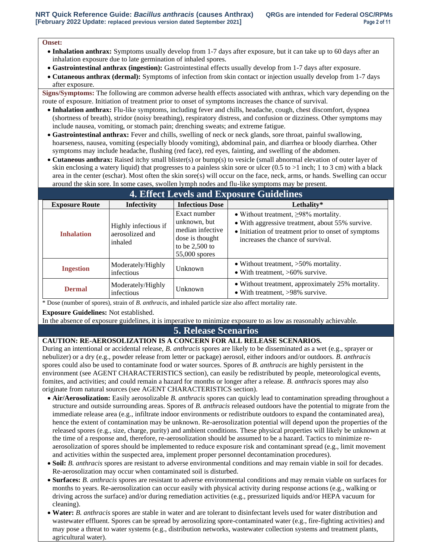#### **Onset:**

- **Inhalation anthrax:** Symptoms usually develop from 1-7 days after exposure, but it can take up to 60 days after an inhalation exposure due to late germination of inhaled spores.
- **Gastrointestinal anthrax (ingestion):** Gastrointestinal effects usually develop from 1-7 days after exposure.
- **Cutaneous anthrax (dermal):** Symptoms of infection from skin contact or injection usually develop from 1-7 days after exposure.

**Signs/Symptoms:** The following are common adverse health effects associated with anthrax, which vary depending on the route of exposure. Initiation of treatment prior to onset of symptoms increases the chance of survival.

- **Inhalation anthrax:** Flu-like symptoms, including fever and chills, headache, cough, chest discomfort, dyspnea (shortness of breath), stridor (noisy breathing), respiratory distress, and confusion or dizziness. Other symptoms may include nausea, vomiting, or stomach pain; drenching sweats; and extreme fatigue.
- **Gastrointestinal anthrax:** Fever and chills, swelling of neck or neck glands, sore throat, painful swallowing, hoarseness, nausea, vomiting (especially bloody vomiting), abdominal pain, and diarrhea or bloody diarrhea. Other symptoms may include headache, flushing (red face), red eyes, fainting, and swelling of the abdomen.
- **Cutaneous anthrax:** Raised itchy small blister(s) or bump(s) to vesicle (small abnormal elevation of outer layer of skin enclosing a watery liquid) that progresses to a painless skin sore or ulcer  $(0.5 \text{ to } >1 \text{ inch}; 1 \text{ to } 3 \text{ cm})$  with a black area in the center (eschar). Most often the skin sore(s) will occur on the face, neck, arms, or hands. Swelling can occur around the skin sore. In some cases, swollen lymph nodes and flu-like symptoms may be present.

| <b>4. Effect Levels and Exposure Guidelines</b> |                                                                                                                                                                  |                        |                                                                                                                                                                                            |
|-------------------------------------------------|------------------------------------------------------------------------------------------------------------------------------------------------------------------|------------------------|--------------------------------------------------------------------------------------------------------------------------------------------------------------------------------------------|
| <b>Exposure Route</b>                           | Infectivity                                                                                                                                                      | <b>Infectious Dose</b> | Lethality*                                                                                                                                                                                 |
| <b>Inhalation</b>                               | Exact number<br>unknown, but<br>Highly infectious if<br>median infective<br>aerosolized and<br>dose is thought<br>inhaled<br>to be $2,500$ to<br>$55,000$ spores |                        | • Without treatment, $\geq$ 98% mortality.<br>• With aggressive treatment, about 55% survive.<br>• Initiation of treatment prior to onset of symptoms<br>increases the chance of survival. |
| <b>Ingestion</b>                                | Moderately/Highly<br>infectious                                                                                                                                  | Unknown                | • Without treatment, $>50\%$ mortality.<br>• With treatment, $>60\%$ survive.                                                                                                              |
| <b>Dermal</b>                                   | Moderately/Highly<br>infectious                                                                                                                                  | Unknown                | • Without treatment, approximately 25% mortality.<br>• With treatment, $>98\%$ survive.                                                                                                    |

\* Dose (number of spores), strain of *B. anthracis*, and inhaled particle size also affect mortality rate.

**Exposure Guidelines:** Not established.

In the absence of exposure guidelines, it is imperative to minimize exposure to as low as reasonably achievable.

## **5. Release Scenarios**

## **CAUTION: RE-AEROSOLIZATION IS A CONCERN FOR ALL RELEASE SCENARIOS.**

During an intentional or accidental release, *B. anthracis* spores are likely to be disseminated as a wet (e.g., sprayer or nebulizer) or a dry (e.g., powder release from letter or package) aerosol, either indoors and/or outdoors. *B. anthracis* spores could also be used to contaminate food or water sources. Spores of *B. anthracis* are highly persistent in the environment (see AGENT CHARACTERISTICS section), can easily be redistributed by people, meteorological events, fomites, and activities; and could remain a hazard for months or longer after a release. *B. anthracis* spores may also originate from natural sources (see AGENT CHARACTERISTICS section).

- **Air/Aerosolization:** Easily aerosolizable *B. anthracis* spores can quickly lead to contamination spreading throughout a structure and outside surrounding areas. Spores of *B. anthracis* released outdoors have the potential to migrate from the immediate release area (e.g., infiltrate indoor environments or redistribute outdoors to expand the contaminated area), hence the extent of contamination may be unknown. Re-aerosolization potential will depend upon the properties of the released spores (e.g., size, charge, purity) and ambient conditions. These physical properties will likely be unknown at the time of a response and, therefore, re-aerosolization should be assumed to be a hazard. Tactics to minimize reaerosolization of spores should be implemented to reduce exposure risk and contaminant spread (e.g., limit movement and activities within the suspected area, implement proper personnel decontamination procedures).
- **Soil:** *B. anthracis* spores are resistant to adverse environmental conditions and may remain viable in soil for decades. Re-aerosolization may occur when contaminated soil is disturbed.
- **Surfaces:** *B. anthracis* spores are resistant to adverse environmental conditions and may remain viable on surfaces for months to years. Re-aerosolization can occur easily with physical activity during response actions (e.g., walking or driving across the surface) and/or during remediation activities (e.g., pressurized liquids and/or HEPA vacuum for cleaning).
- **Water:** *B. anthracis* spores are stable in water and are tolerant to disinfectant levels used for water distribution and wastewater effluent. Spores can be spread by aerosolizing spore-contaminated water (e.g., fire-fighting activities) and may pose a threat to water systems (e.g., distribution networks, wastewater collection systems and treatment plants, agricultural water).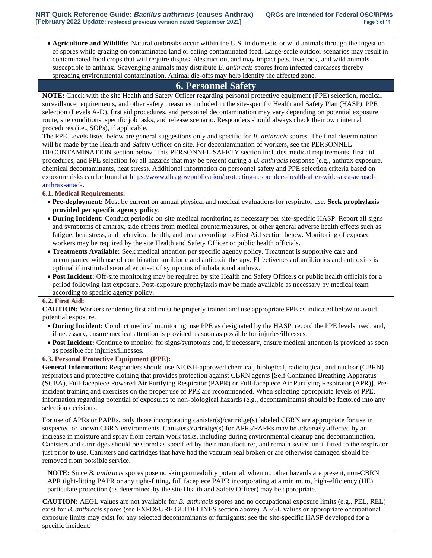• **Agriculture and Wildlife:** Natural outbreaks occur within the U.S. in domestic or wild animals through the ingestion of spores while grazing on contaminated land or eating contaminated feed. Large-scale outdoor scenarios may result in contaminated food crops that will require disposal/destruction, and may impact pets, livestock, and wild animals susceptible to anthrax. Scavenging animals may distribute *B. anthracis* spores from infected carcasses thereby spreading environmental contamination. Animal die-offs may help identify the affected zone.

## **6. Personnel Safety**

**NOTE:** Check with the site Health and Safety Officer regarding personal protective equipment (PPE) selection, medical surveillance requirements, and other safety measures included in the site-specific Health and Safety Plan (HASP). PPE selection (Levels A-D), first aid procedures, and personnel decontamination may vary depending on potential exposure route, site conditions, specific job tasks, and release scenario. Responders should always check their own internal procedures (i.e., SOPs), if applicable.

The PPE Levels listed below are general suggestions only and specific for *B. anthracis* spores. The final determination will be made by the Health and Safety Officer on site. For decontamination of workers, see the PERSONNEL DECONTAMINATION section below. This PERSONNEL SAFETY section includes medical requirements, first aid procedures, and PPE selection for all hazards that may be present during a *B. anthracis* response (e.g., anthrax exposure, chemical decontaminants, heat stress). Additional information on personnel safety and PPE selection criteria based on exposure risks can be found at [https://www.dhs.gov/publication/protecting-responders-health-after-wide-area-aerosol](https://www.dhs.gov/publication/protecting-responders-health-after-wide-area-aerosol-anthrax-attack)[anthrax-attack.](https://www.dhs.gov/publication/protecting-responders-health-after-wide-area-aerosol-anthrax-attack)

#### **6.1. Medical Requirements:**

- **Pre-deployment:** Must be current on annual physical and medical evaluations for respirator use. **Seek prophylaxis provided per specific agency policy**.
- **During Incident:** Conduct periodic on-site medical monitoring as necessary per site-specific HASP. Report all signs and symptoms of anthrax, side effects from medical countermeasures, or other general adverse health effects such as fatigue, heat stress, and behavioral health, and treat according to First Aid section below. Monitoring of exposed workers may be required by the site Health and Safety Officer or public health officials.
- **Treatments Available:** Seek medical attention per specific agency policy. Treatment is supportive care and accompanied with use of combination antibiotic and antitoxin therapy. Effectiveness of antibiotics and antitoxins is optimal if instituted soon after onset of symptoms of inhalational anthrax.
- **Post Incident:** Off-site monitoring may be required by site Health and Safety Officers or public health officials for a period following last exposure. Post-exposure prophylaxis may be made available as necessary by medical team according to specific agency policy.

### **6.2. First Aid:**

**CAUTION:** Workers rendering first aid must be properly trained and use appropriate PPE as indicated below to avoid potential exposure.

- **During Incident:** Conduct medical monitoring, use PPE as designated by the HASP, record the PPE levels used, and, if necessary, ensure medical attention is provided as soon as possible for injuries/illnesses.
- **Post Incident:** Continue to monitor for signs/symptoms and, if necessary, ensure medical attention is provided as soon as possible for injuries/illnesses.

#### **6.3. Personal Protective Equipment (PPE):**

**General Information:** Responders should use NIOSH-approved chemical, biological, radiological, and nuclear (CBRN) respirators and protective clothing that provides protection against CBRN agents [Self Contained Breathing Apparatus (SCBA), Full-facepiece Powered Air Purifying Respirator (PAPR) or Full-facepiece Air Purifying Respirator (APR)]. Preincident training and exercises on the proper use of PPE are recommended. When selecting appropriate levels of PPE, information regarding potential of exposures to non-biological hazards (e.g., decontaminants) should be factored into any selection decisions.

For use of APRs or PAPRs, only those incorporating canister(s)/cartridge(s) labeled CBRN are appropriate for use in suspected or known CBRN environments. Canisters/cartridge(s) for APRs/PAPRs may be adversely affected by an increase in moisture and spray from certain work tasks, including during environmental cleanup and decontamination. Canisters and cartridges should be stored as specified by their manufacturer, and remain sealed until fitted to the respirator just prior to use. Canisters and cartridges that have had the vacuum seal broken or are otherwise damaged should be removed from possible service.

**NOTE:** Since *B. anthracis* spores pose no skin permeability potential, when no other hazards are present, non-CBRN APR tight-fitting PAPR or any tight-fitting, full facepiece PAPR incorporating at a minimum, high-efficiency (HE) particulate protection (as determined by the site Health and Safety Officer) may be appropriate.

**CAUTION:** AEGL values are not available for *B. anthracis* spores and no occupational exposure limits (e.g., PEL, REL) exist for *B. anthracis* spores (see EXPOSURE GUIDELINES section above). AEGL values or appropriate occupational exposure limits may exist for any selected decontaminants or fumigants; see the site-specific HASP developed for a specific incident.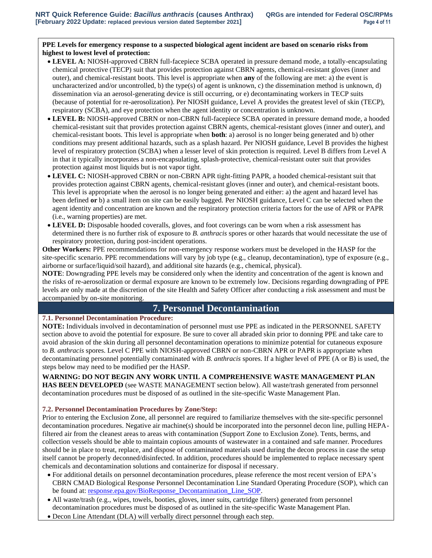### **PPE Levels for emergency response to a suspected biological agent incident are based on scenario risks from highest to lowest level of protection:**

- **LEVEL A:** NIOSH-approved CBRN full-facepiece SCBA operated in pressure demand mode, a totally-encapsulating chemical protective (TECP) suit that provides protection against CBRN agents, chemical-resistant gloves (inner and outer), and chemical-resistant boots. This level is appropriate when **any** of the following are met: a) the event is uncharacterized and/or uncontrolled, b) the type(s) of agent is unknown, c) the dissemination method is unknown, d) dissemination via an aerosol-generating device is still occurring, or e) decontaminating workers in TECP suits (because of potential for re-aerosolization). Per NIOSH guidance, Level A provides the greatest level of skin (TECP), respiratory (SCBA), and eye protection when the agent identity or concentration is unknown.
- **LEVEL B:** NIOSH-approved CBRN or non-CBRN full-facepiece SCBA operated in pressure demand mode, a hooded chemical-resistant suit that provides protection against CBRN agents, chemical-resistant gloves (inner and outer), and chemical-resistant boots. This level is appropriate when **both**: a) aerosol is no longer being generated and b) other conditions may present additional hazards, such as a splash hazard. Per NIOSH guidance, Level B provides the highest level of respiratory protection (SCBA) when a lesser level of skin protection is required. Level B differs from Level A in that it typically incorporates a non-encapsulating, splash-protective, chemical-resistant outer suit that provides protection against most liquids but is not vapor tight.
- **LEVEL C:** NIOSH-approved CBRN or non-CBRN APR tight-fitting PAPR, a hooded chemical-resistant suit that provides protection against CBRN agents, chemical-resistant gloves (inner and outer), and chemical-resistant boots. This level is appropriate when the aerosol is no longer being generated and either: a) the agent and hazard level has been defined **or** b) a small item on site can be easily bagged. Per NIOSH guidance, Level C can be selected when the agent identity and concentration are known and the respiratory protection criteria factors for the use of APR or PAPR (i.e., warning properties) are met.
- **LEVEL D:** Disposable hooded coveralls, gloves, and foot coverings can be worn when a risk assessment has determined there is no further risk of exposure to *B. anthracis* spores or other hazards that would necessitate the use of respiratory protection, during post-incident operations.

**Other Workers:** PPE recommendations for non-emergency response workers must be developed in the HASP for the site-specific scenario. PPE recommendations will vary by job type (e.g., cleanup, decontamination), type of exposure (e.g., airborne or surface/liquid/soil hazard), and additional site hazards (e.g., chemical, physical).

**NOTE**: Downgrading PPE levels may be considered only when the identity and concentration of the agent is known and the risks of re-aerosolization or dermal exposure are known to be extremely low. Decisions regarding downgrading of PPE levels are only made at the discretion of the site Health and Safety Officer after conducting a risk assessment and must be accompanied by on-site monitoring.

# **7. Personnel Decontamination**

### **7.1. Personnel Decontamination Procedure:**

**NOTE:** Individuals involved in decontamination of personnel must use PPE as indicated in the PERSONNEL SAFETY section above to avoid the potential for exposure. Be sure to cover all abraded skin prior to donning PPE and take care to avoid abrasion of the skin during all personnel decontamination operations to minimize potential for cutaneous exposure to *B. anthracis* spores. Level C PPE with NIOSH-approved CBRN or non-CBRN APR or PAPR is appropriate when decontaminating personnel potentially contaminated with *B. anthracis* spores. If a higher level of PPE (A or B) is used, the steps below may need to be modified per the HASP.

**WARNING: DO NOT BEGIN ANY WORK UNTIL A COMPREHENSIVE WASTE MANAGEMENT PLAN HAS BEEN DEVELOPED** (see WASTE MANAGEMENT section below). All waste/trash generated from personnel decontamination procedures must be disposed of as outlined in the site-specific Waste Management Plan.

### **7.2. Personnel Decontamination Procedures by Zone/Step:**

Prior to entering the Exclusion Zone, all personnel are required to familiarize themselves with the site-specific personnel decontamination procedures. Negative air machine(s) should be incorporated into the personnel decon line, pulling HEPAfiltered air from the cleanest areas to areas with contamination (Support Zone to Exclusion Zone). Tents, berms, and collection vessels should be able to maintain copious amounts of wastewater in a contained and safe manner. Procedures should be in place to treat, replace, and dispose of contaminated materials used during the decon process in case the setup itself cannot be properly deconned/disinfected. In addition, procedures should be implemented to replace necessary spent chemicals and decontamination solutions and containerize for disposal if necessary.

- For additional details on personnel decontamination procedures, please reference the most recent version of EPA's CBRN CMAD Biological Response Personnel Decontamination Line Standard Operating Procedure (SOP), which can be found at: [response.epa.gov/BioResponse\\_Decontamination\\_Line\\_SOP.](https://response.epa.gov/BioResponse_Decontamination_Line_SOP)
- All waste/trash (e.g., wipes, towels, booties, gloves, inner suits, cartridge filters) generated from personnel decontamination procedures must be disposed of as outlined in the site-specific Waste Management Plan.
- Decon Line Attendant (DLA) will verbally direct personnel through each step.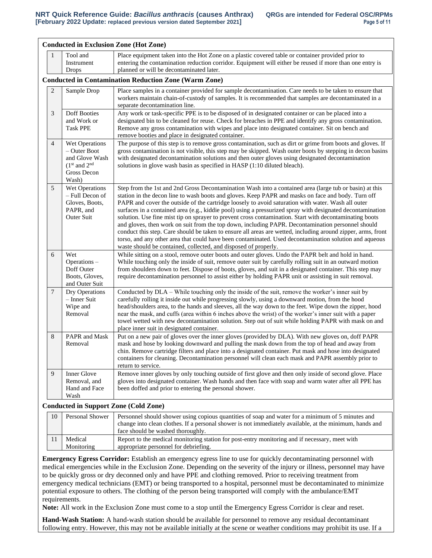|                |                                                                                              | <b>Conducted in Exclusion Zone (Hot Zone)</b>                                                                                                                                                                                                                                                                                                                                                                                                                                                                                                                                                                                                                                                                                                                                                                                                                                                                                                  |
|----------------|----------------------------------------------------------------------------------------------|------------------------------------------------------------------------------------------------------------------------------------------------------------------------------------------------------------------------------------------------------------------------------------------------------------------------------------------------------------------------------------------------------------------------------------------------------------------------------------------------------------------------------------------------------------------------------------------------------------------------------------------------------------------------------------------------------------------------------------------------------------------------------------------------------------------------------------------------------------------------------------------------------------------------------------------------|
| 1              | Tool and<br>Instrument<br><b>Drops</b>                                                       | Place equipment taken into the Hot Zone on a plastic covered table or container provided prior to<br>entering the contamination reduction corridor. Equipment will either be reused if more than one entry is<br>planned or will be decontaminated later.                                                                                                                                                                                                                                                                                                                                                                                                                                                                                                                                                                                                                                                                                      |
|                |                                                                                              | <b>Conducted in Contamination Reduction Zone (Warm Zone)</b>                                                                                                                                                                                                                                                                                                                                                                                                                                                                                                                                                                                                                                                                                                                                                                                                                                                                                   |
| $\overline{2}$ | Sample Drop                                                                                  | Place samples in a container provided for sample decontamination. Care needs to be taken to ensure that<br>workers maintain chain-of-custody of samples. It is recommended that samples are decontaminated in a<br>separate decontamination line.                                                                                                                                                                                                                                                                                                                                                                                                                                                                                                                                                                                                                                                                                              |
| $\mathfrak{Z}$ | <b>Doff Booties</b><br>and Work or<br><b>Task PPE</b>                                        | Any work or task-specific PPE is to be disposed of in designated container or can be placed into a<br>designated bin to be cleaned for reuse. Check for breaches in PPE and identify any gross contamination.<br>Remove any gross contamination with wipes and place into designated container. Sit on bench and<br>remove booties and place in designated container.                                                                                                                                                                                                                                                                                                                                                                                                                                                                                                                                                                          |
| $\overline{4}$ | Wet Operations<br>- Outer Boot<br>and Glove Wash<br>$(1st$ and $2nd$<br>Gross Decon<br>Wash) | The purpose of this step is to remove gross contamination, such as dirt or grime from boots and gloves. If<br>gross contamination is not visible, this step may be skipped. Wash outer boots by stepping in decon basins<br>with designated decontamination solutions and then outer gloves using designated decontamination<br>solutions in glove wash basin as specified in HASP (1:10 diluted bleach).                                                                                                                                                                                                                                                                                                                                                                                                                                                                                                                                      |
| 5              | Wet Operations<br>- Full Decon of<br>Gloves, Boots,<br>PAPR, and<br><b>Outer Suit</b>        | Step from the 1st and 2nd Gross Decontamination Wash into a contained area (large tub or basin) at this<br>station in the decon line to wash boots and gloves. Keep PAPR and masks on face and body. Turn off<br>PAPR and cover the outside of the cartridge loosely to avoid saturation with water. Wash all outer<br>surfaces in a contained area (e.g., kiddie pool) using a pressurized spray with designated decontamination<br>solution. Use fine mist tip on sprayer to prevent cross contamination. Start with decontaminating boots<br>and gloves, then work on suit from the top down, including PAPR. Decontamination personnel should<br>conduct this step. Care should be taken to ensure all areas are wetted, including around zipper, arms, front<br>torso, and any other area that could have been contaminated. Used decontamination solution and aqueous<br>waste should be contained, collected, and disposed of properly. |
| 6              | Wet<br>Operations -<br>Doff Outer<br>Boots, Gloves,<br>and Outer Suit                        | While sitting on a stool, remove outer boots and outer gloves. Undo the PAPR belt and hold in hand.<br>While touching only the inside of suit, remove outer suit by carefully rolling suit in an outward motion<br>from shoulders down to feet. Dispose of boots, gloves, and suit in a designated container. This step may<br>require decontamination personnel to assist either by holding PAPR unit or assisting in suit removal.                                                                                                                                                                                                                                                                                                                                                                                                                                                                                                           |
| 7              | Dry Operations<br>- Inner Suit<br>Wipe and<br>Removal                                        | Conducted by DLA – While touching only the inside of the suit, remove the worker's inner suit by<br>carefully rolling it inside out while progressing slowly, using a downward motion, from the hood<br>head/shoulders area, to the hands and sleeves, all the way down to the feet. Wipe down the zipper, hood<br>near the mask, and cuffs (area within 6 inches above the wrist) of the worker's inner suit with a paper<br>towel wetted with new decontamination solution. Step out of suit while holding PAPR with mask on and<br>place inner suit in designated container.                                                                                                                                                                                                                                                                                                                                                                |
| 8              | PAPR and Mask<br>Removal                                                                     | Put on a new pair of gloves over the inner gloves (provided by DLA). With new gloves on, doff PAPR<br>mask and hose by looking downward and pulling the mask down from the top of head and away from<br>chin. Remove cartridge filters and place into a designated container. Put mask and hose into designated<br>containers for cleaning. Decontamination personnel will clean each mask and PAPR assembly prior to<br>return to service.                                                                                                                                                                                                                                                                                                                                                                                                                                                                                                    |
| 9              | Inner Glove<br>Removal, and<br>Hand and Face<br>Wash                                         | Remove inner gloves by only touching outside of first glove and then only inside of second glove. Place<br>gloves into designated container. Wash hands and then face with soap and warm water after all PPE has<br>been doffed and prior to entering the personal shower.                                                                                                                                                                                                                                                                                                                                                                                                                                                                                                                                                                                                                                                                     |
|                |                                                                                              | <b>Conducted in Support Zone (Cold Zone)</b>                                                                                                                                                                                                                                                                                                                                                                                                                                                                                                                                                                                                                                                                                                                                                                                                                                                                                                   |
| 10             |                                                                                              | Personal Shower   Personnel should shower using copious quantities of soap and water for a minimum of 5 minutes and                                                                                                                                                                                                                                                                                                                                                                                                                                                                                                                                                                                                                                                                                                                                                                                                                            |

| 10 | Personal Shower       | Personnel should shower using copious quantities of soap and water for a minimum of 5 minutes and<br>change into clean clothes. If a personal shower is not immediately available, at the minimum, hands and<br>face should be washed thoroughly. |  |
|----|-----------------------|---------------------------------------------------------------------------------------------------------------------------------------------------------------------------------------------------------------------------------------------------|--|
|    | Medical<br>Monitoring | Report to the medical monitoring station for post-entry monitoring and if necessary, meet with<br>appropriate personnel for debriefing.                                                                                                           |  |

**Emergency Egress Corridor:** Establish an emergency egress line to use for quickly decontaminating personnel with medical emergencies while in the Exclusion Zone. Depending on the severity of the injury or illness, personnel may have to be quickly gross or dry deconned only and have PPE and clothing removed. Prior to receiving treatment from emergency medical technicians (EMT) or being transported to a hospital, personnel must be decontaminated to minimize potential exposure to others. The clothing of the person being transported will comply with the ambulance/EMT requirements.

**Note:** All work in the Exclusion Zone must come to a stop until the Emergency Egress Corridor is clear and reset.

**Hand-Wash Station:** A hand-wash station should be available for personnel to remove any residual decontaminant following entry. However, this may not be available initially at the scene or weather conditions may prohibit its use. If a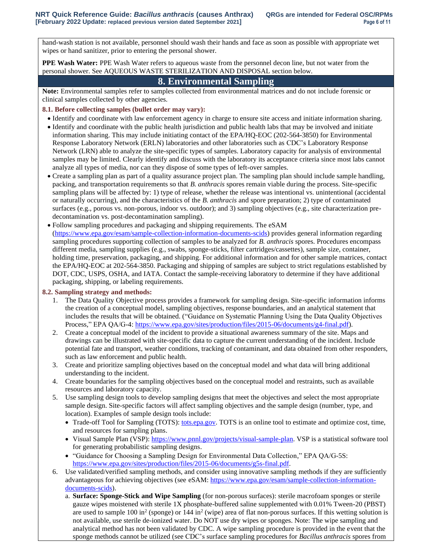hand-wash station is not available, personnel should wash their hands and face as soon as possible with appropriate wet wipes or hand sanitizer, prior to entering the personal shower.

**PPE Wash Water:** PPE Wash Water refers to aqueous waste from the personnel decon line, but not water from the personal shower. See AQUEOUS WASTE STERILIZATION AND DISPOSAL section below.

## **8. Environmental Sampling**

**Note:** Environmental samples refer to samples collected from environmental matrices and do not include forensic or clinical samples collected by other agencies.

#### **8.1. Before collecting samples (bullet order may vary):**

- Identify and coordinate with law enforcement agency in charge to ensure site access and initiate information sharing.
- Identify and coordinate with the public health jurisdiction and public health labs that may be involved and initiate information sharing. This may include initiating contact of the EPA/HQ-EOC (202-564-3850) for Environmental Response Laboratory Network (ERLN) laboratories and other laboratories such as CDC's Laboratory Response Network (LRN) able to analyze the site-specific types of samples. Laboratory capacity for analysis of environmental samples may be limited. Clearly identify and discuss with the laboratory its acceptance criteria since most labs cannot analyze all types of media, nor can they dispose of some types of left-over samples.
- Create a sampling plan as part of a quality assurance project plan. The sampling plan should include sample handling, packing, and transportation requirements so that *B. anthracis* spores remain viable during the process. Site-specific sampling plans will be affected by: 1) type of release, whether the release was intentional vs. unintentional (accidental or naturally occurring), and the characteristics of the *B. anthracis* and spore preparation; 2) type of contaminated surfaces (e.g., porous vs. non-porous, indoor vs. outdoor); and 3) sampling objectives (e.g., site characterization predecontamination vs. post-decontamination sampling).
- Follow sampling procedures and packaging and shipping requirements. The eSAM [\(https://www.epa.gov/esam/sample-collection-information-documents-scids\)](https://www.epa.gov/esam/sample-collection-information-documents-scids) provides general information regarding sampling procedures supporting collection of samples to be analyzed for *B. anthracis* spores. Procedures encompass different media, sampling supplies (e.g., swabs, sponge-sticks, filter cartridges/cassettes), sample size, container, holding time, preservation, packaging, and shipping. For additional information and for other sample matrices, contact the EPA/HQ-EOC at 202-564-3850. Packaging and shipping of samples are subject to strict regulations established by DOT, CDC, USPS, OSHA, and IATA. Contact the sample-receiving laboratory to determine if they have additional packaging, shipping, or labeling requirements.

### **8.2. Sampling strategy and methods:**

- 1. The Data Quality Objective process provides a framework for sampling design. Site-specific information informs the creation of a conceptual model, sampling objectives, response boundaries, and an analytical statement that includes the results that will be obtained. ("Guidance on Systematic Planning Using the Data Quality Objectives Process," EPA QA/G-4: [https://www.epa.gov/sites/production/files/2015-06/documents/g4-final.pdf\)](https://www.epa.gov/sites/production/files/2015-06/documents/g4-final.pdf).
- 2. Create a conceptual model of the incident to provide a situational awareness summary of the site. Maps and drawings can be illustrated with site-specific data to capture the current understanding of the incident. Include potential fate and transport, weather conditions, tracking of contaminant, and data obtained from other responders, such as law enforcement and public health.
- 3. Create and prioritize sampling objectives based on the conceptual model and what data will bring additional understanding to the incident.
- 4. Create boundaries for the sampling objectives based on the conceptual model and restraints, such as available resources and laboratory capacity.
- 5. Use sampling design tools to develop sampling designs that meet the objectives and select the most appropriate sample design. Site-specific factors will affect sampling objectives and the sample design (number, type, and location). Examples of sample design tools include:
	- Trade-off Tool for Sampling (TOTS): [tots.epa.gov.](https://www.tots.epa.gov/) TOTS is an online tool to estimate and optimize cost, time, and resources for sampling plans.
	- Visual Sample Plan (VSP): [https://www.pnnl.gov/projects/visual-sample-plan.](https://www.pnnl.gov/projects/visual-sample-plan) VSP is a statistical software tool for generating probabilistic sampling designs.
	- "Guidance for Choosing a Sampling Design for Environmental Data Collection," EPA QA/G-5S: [https://www.epa.gov/sites/production/files/2015-06/documents/g5s-final.pdf.](https://www.epa.gov/sites/production/files/2015-06/documents/g5s-final.pdf)
- 6. Use validated/verified sampling methods, and consider using innovative sampling methods if they are sufficiently advantageous for achieving objectives (see eSAM: [https://www.epa.gov/esam/sample-collection-information](https://www.epa.gov/esam/sample-collection-information-documents-scids)[documents-scids\)](https://www.epa.gov/esam/sample-collection-information-documents-scids).
	- a. **Surface: Sponge-Stick and Wipe Sampling** (for non-porous surfaces): sterile macrofoam sponges or sterile gauze wipes moistened with sterile 1X phosphate-buffered saline supplemented with 0.01% Tween-20 (PBST) are used to sample  $100$  in<sup>2</sup> (sponge) or  $144$  in<sup>2</sup> (wipe) area of flat non-porous surfaces. If this wetting solution is not available, use sterile de-ionized water. Do NOT use dry wipes or sponges. Note: The wipe sampling and analytical method has not been validated by CDC. A wipe sampling procedure is provided in the event that the sponge methods cannot be utilized (see CDC's surface sampling procedures for *Bacillus anthracis* spores from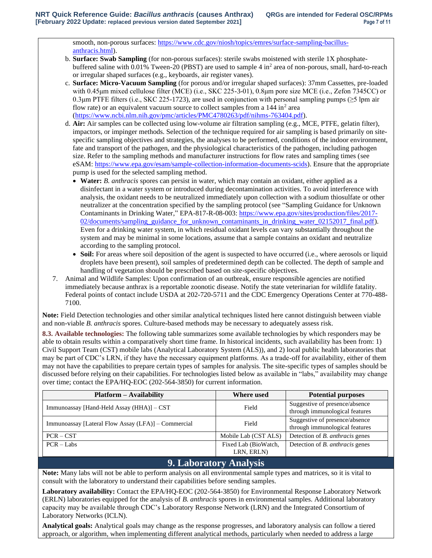smooth, non-porous surfaces[: https://www.cdc.gov/niosh/topics/emres/surface-sampling-bacillus](https://www.cdc.gov/niosh/topics/emres/surface-sampling-bacillus-anthracis.html)[anthracis.html\)](https://www.cdc.gov/niosh/topics/emres/surface-sampling-bacillus-anthracis.html).

- b. **Surface: Swab Sampling** (for non-porous surfaces): sterile swabs moistened with sterile 1X phosphatebuffered saline with 0.01% Tween-20 (PBST) are used to sample 4 in<sup>2</sup> area of non-porous, small, hard-to-reach or irregular shaped surfaces (e.g., keyboards, air register vanes).
- c. **Surface: Micro-Vacuum Sampling** (for porous and/or irregular shaped surfaces): 37mm Cassettes, pre-loaded with 0.45μm mixed cellulose filter (MCE) (i.e., SKC 225-3-01), 0.8μm pore size MCE (i.e., Zefon 7345CC) or 0.3μm PTFE filters (i.e., SKC 225-1723), are used in conjunction with personal sampling pumps (≥5 lpm air flow rate) or an equivalent vacuum source to collect samples from a  $144$  in<sup>2</sup> area [\(https://www.ncbi.nlm.nih.gov/pmc/articles/PMC4780263/pdf/nihms-763404.pdf\)](https://www.ncbi.nlm.nih.gov/pmc/articles/PMC4780263/pdf/nihms-763404.pdf).
- d. **Air:** Air samples can be collected using low-volume air filtration sampling (e.g., MCE, PTFE, gelatin filter), impactors, or impinger methods. Selection of the technique required for air sampling is based primarily on sitespecific sampling objectives and strategies, the analyses to be performed, conditions of the indoor environment, fate and transport of the pathogen, and the physiological characteristics of the pathogen, including pathogen size. Refer to the sampling methods and manufacturer instructions for flow rates and sampling times (see eSAM[: https://www.epa.gov/esam/sample-collection-information-documents-scids\)](https://www.epa.gov/esam/sample-collection-information-documents-scids). Ensure that the appropriate pump is used for the selected sampling method.
	- **Water:** *B. anthracis* spores can persist in water, which may contain an oxidant, either applied as a disinfectant in a water system or introduced during decontamination activities. To avoid interference with analysis, the oxidant needs to be neutralized immediately upon collection with a sodium thiosulfate or other neutralizer at the concentration specified by the sampling protocol (see "Sampling Guidance for Unknown Contaminants in Drinking Water," EPA-817-R-08-003: [https://www.epa.gov/sites/production/files/2017-](https://www.epa.gov/sites/production/files/2017-02/documents/sampling_guidance_for_unknown_contaminants_in_drinking_water_02152017_final.pdf) [02/documents/sampling\\_guidance\\_for\\_unknown\\_contaminants\\_in\\_drinking\\_water\\_02152017\\_final.pdf\)](https://www.epa.gov/sites/production/files/2017-02/documents/sampling_guidance_for_unknown_contaminants_in_drinking_water_02152017_final.pdf). Even for a drinking water system, in which residual oxidant levels can vary substantially throughout the system and may be minimal in some locations, assume that a sample contains an oxidant and neutralize according to the sampling protocol.
	- **Soil:** For areas where soil deposition of the agent is suspected to have occurred (i.e., where aerosols or liquid droplets have been present), soil samples of predetermined depth can be collected. The depth of sample and handling of vegetation should be prescribed based on site-specific objectives.
- 7. Animal and Wildlife Samples: Upon confirmation of an outbreak, ensure responsible agencies are notified immediately because anthrax is a reportable zoonotic disease. Notify the state veterinarian for wildlife fatality. Federal points of contact include USDA at 202-720-5711 and the CDC Emergency Operations Center at 770-488- 7100.

**Note:** Field Detection technologies and other similar analytical techniques listed here cannot distinguish between viable and non-viable *B. anthracis* spores. Culture-based methods may be necessary to adequately assess risk.

**8.3. Available technologies:** The following table summarizes some available technologies by which responders may be able to obtain results within a comparatively short time frame. In historical incidents, such availability has been from: 1) Civil Support Team (CST) mobile labs (Analytical Laboratory System (ALS)), and 2) local public health laboratories that may be part of CDC's LRN, if they have the necessary equipment platforms. As a trade-off for availability, either of them may not have the capabilities to prepare certain types of samples for analysis. The site-specific types of samples should be discussed before relying on their capabilities. For technologies listed below as available in "labs," availability may change over time; contact the EPA/HQ-EOC (202-564-3850) for current information.

| <b>Platform – Availability</b>                      | Where used                         | <b>Potential purposes</b>                                        |
|-----------------------------------------------------|------------------------------------|------------------------------------------------------------------|
| Immunoassay [Hand-Held Assay (HHA)] - CST           | Field                              | Suggestive of presence/absence<br>through immunological features |
| Immunoassay [Lateral Flow Assay (LFA)] – Commercial | Field                              | Suggestive of presence/absence<br>through immunological features |
| $PCR - CST$                                         | Mobile Lab (CST ALS)               | Detection of <i>B. anthracis</i> genes                           |
| $PCR - Labs$                                        | Fixed Lab (BioWatch,<br>LRN, ERLN) | Detection of <i>B. anthracis</i> genes                           |

# **9. Laboratory Analysis**

**Note:** Many labs will not be able to perform analysis on all environmental sample types and matrices, so it is vital to consult with the laboratory to understand their capabilities before sending samples.

**Laboratory availability:** Contact the EPA/HQ-EOC (202-564-3850) for Environmental Response Laboratory Network (ERLN) laboratories equipped for the analysis of *B. anthracis* spores in environmental samples. Additional laboratory capacity may be available through CDC's Laboratory Response Network (LRN) and the Integrated Consortium of Laboratory Networks (ICLN).

**Analytical goals:** Analytical goals may change as the response progresses, and laboratory analysis can follow a tiered approach, or algorithm, when implementing different analytical methods, particularly when needed to address a large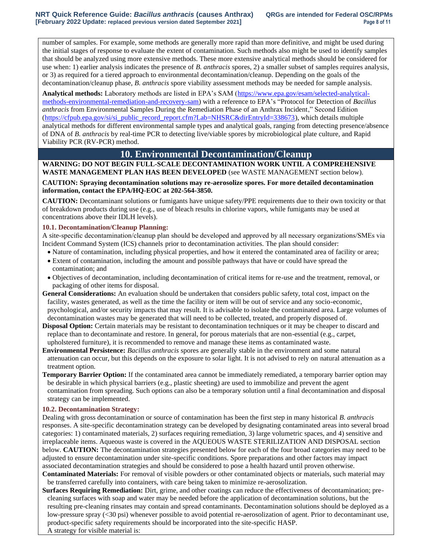number of samples. For example, some methods are generally more rapid than more definitive, and might be used during the initial stages of response to evaluate the extent of contamination. Such methods also might be used to identify samples that should be analyzed using more extensive methods. These more extensive analytical methods should be considered for use when: 1) earlier analysis indicates the presence of *B. anthracis* spores, 2) a smaller subset of samples requires analysis, or 3) as required for a tiered approach to environmental decontamination/cleanup. Depending on the goals of the decontamination/cleanup phase, *B. anthracis* spore viability assessment methods may be needed for sample analysis.

**Analytical methods:** Laboratory methods are listed in EPA's SAM [\(https://www.epa.gov/esam/selected-analytical](https://www.epa.gov/esam/selected-analytical-methods-environmental-remediation-and-recovery-sam)[methods-environmental-remediation-and-recovery-sam\)](https://www.epa.gov/esam/selected-analytical-methods-environmental-remediation-and-recovery-sam) with a reference to EPA's "Protocol for Detection of *Bacillus anthracis* from Environmental Samples During the Remediation Phase of an Anthrax Incident," Second Edition [\(https://cfpub.epa.gov/si/si\\_public\\_record\\_report.cfm?Lab=NHSRC&dirEntryId=338673\)](https://cfpub.epa.gov/si/si_public_record_report.cfm?Lab=NHSRC&dirEntryId=338673), which details multiple analytical methods for different environmental sample types and analytical goals, ranging from detecting presence/absence of DNA of *B. anthracis* by real-time PCR to detecting live/viable spores by microbiological plate culture, and Rapid Viability PCR (RV-PCR) method.

### **10. Environmental Decontamination/Cleanup**

## **WARNING: DO NOT BEGIN FULL-SCALE DECONTAMINATION WORK UNTIL A COMPREHENSIVE WASTE MANAGEMENT PLAN HAS BEEN DEVELOPED** (see WASTE MANAGEMENT section below).

**CAUTION: Spraying decontamination solutions may re-aerosolize spores. For more detailed decontamination information, contact the EPA/HQ-EOC at 202-564-3850.**

**CAUTION:** Decontaminant solutions or fumigants have unique safety/PPE requirements due to their own toxicity or that of breakdown products during use (e.g., use of bleach results in chlorine vapors, while fumigants may be used at concentrations above their IDLH levels).

#### **10.1. Decontamination/Cleanup Planning:**

A site-specific decontamination/cleanup plan should be developed and approved by all necessary organizations/SMEs via Incident Command System (ICS) channels prior to decontamination activities. The plan should consider:

- Nature of contamination, including physical properties, and how it entered the contaminated area of facility or area;
- Extent of contamination, including the amount and possible pathways that have or could have spread the contamination; and
- Objectives of decontamination, including decontamination of critical items for re-use and the treatment, removal, or packaging of other items for disposal.
- **General Considerations:** An evaluation should be undertaken that considers public safety, total cost, impact on the facility, wastes generated, as well as the time the facility or item will be out of service and any socio-economic, psychological, and/or security impacts that may result. It is advisable to isolate the contaminated area. Large volumes of decontamination wastes may be generated that will need to be collected, treated, and properly disposed of.
- **Disposal Option:** Certain materials may be resistant to decontamination techniques or it may be cheaper to discard and replace than to decontaminate and restore. In general, for porous materials that are non-essential (e.g., carpet, upholstered furniture), it is recommended to remove and manage these items as contaminated waste.
- **Environmental Persistence:** *Bacillus anthracis* spores are generally stable in the environment and some natural attenuation can occur, but this depends on the exposure to solar light. It is not advised to rely on natural attenuation as a treatment option.
- **Temporary Barrier Option:** If the contaminated area cannot be immediately remediated, a temporary barrier option may be desirable in which physical barriers (e.g., plastic sheeting) are used to immobilize and prevent the agent contamination from spreading. Such options can also be a temporary solution until a final decontamination and disposal strategy can be implemented.

#### **10.2. Decontamination Strategy:**

Dealing with gross decontamination or source of contamination has been the first step in many historical *B. anthracis* responses. A site-specific decontamination strategy can be developed by designating contaminated areas into several broad categories: 1) contaminated materials, 2) surfaces requiring remediation, 3) large volumetric spaces, and 4) sensitive and irreplaceable items. Aqueous waste is covered in the AQUEOUS WASTE STERILIZATION AND DISPOSAL section below. **CAUTION:** The decontamination strategies presented below for each of the four broad categories may need to be adjusted to ensure decontamination under site-specific conditions. Spore preparations and other factors may impact associated decontamination strategies and should be considered to pose a health hazard until proven otherwise.

**Contaminated Materials:** For removal of visible powders or other contaminated objects or materials, such material may be transferred carefully into containers, with care being taken to minimize re-aerosolization.

**Surfaces Requiring Remediation:** Dirt, grime, and other coatings can reduce the effectiveness of decontamination; precleaning surfaces with soap and water may be needed before the application of decontamination solutions, but the resulting pre-cleaning rinsates may contain and spread contaminants. Decontamination solutions should be deployed as a low-pressure spray (<30 psi) whenever possible to avoid potential re-aerosolization of agent. Prior to decontaminant use, product-specific safety requirements should be incorporated into the site-specific HASP. A strategy for visible material is: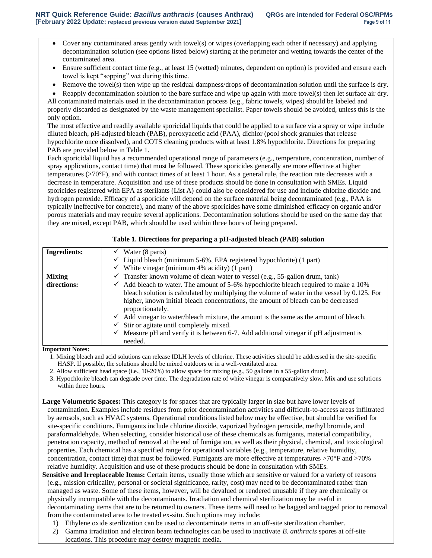- Cover any contaminated areas gently with towel(s) or wipes (overlapping each other if necessary) and applying decontamination solution (see options listed below) starting at the perimeter and wetting towards the center of the contaminated area.
- Ensure sufficient contact time (e.g., at least 15 (wetted) minutes, dependent on option) is provided and ensure each towel is kept "sopping" wet during this time.
- Remove the towel(s) then wipe up the residual dampness/drops of decontamination solution until the surface is dry.
- Reapply decontamination solution to the bare surface and wipe up again with more towel(s) then let surface air dry.

All contaminated materials used in the decontamination process (e.g., fabric towels, wipes) should be labeled and properly discarded as designated by the waste management specialist. Paper towels should be avoided, unless this is the only option.

The most effective and readily available sporicidal liquids that could be applied to a surface via a spray or wipe include diluted bleach, pH-adjusted bleach (PAB), peroxyacetic acid (PAA), dichlor (pool shock granules that release hypochlorite once dissolved), and COTS cleaning products with at least 1.8% hypochlorite. Directions for preparing PAB are provided below in Table 1.

Each sporicidal liquid has a recommended operational range of parameters (e.g., temperature, concentration, number of spray applications, contact time) that must be followed. These sporicides generally are more effective at higher temperatures (>70°F), and with contact times of at least 1 hour. As a general rule, the reaction rate decreases with a decrease in temperature. Acquisition and use of these products should be done in consultation with SMEs. Liquid sporicides registered with EPA as sterilants (List A) could also be considered for use and include chlorine dioxide and hydrogen peroxide. Efficacy of a sporicide will depend on the surface material being decontaminated (e.g., PAA is typically ineffective for concrete), and many of the above sporicides have some diminished efficacy on organic and/or porous materials and may require several applications. Decontamination solutions should be used on the same day that they are mixed, except PAB, which should be used within three hours of being prepared.

| <b>Ingredients:</b> | $\checkmark$ Water (8 parts)                                                                      |  |  |
|---------------------|---------------------------------------------------------------------------------------------------|--|--|
|                     | $\checkmark$ Liquid bleach (minimum 5-6%, EPA registered hypochlorite) (1 part)                   |  |  |
|                     | $\checkmark$ White vinegar (minimum 4% acidity) (1 part)                                          |  |  |
| <b>Mixing</b>       | $\checkmark$ Transfer known volume of clean water to vessel (e.g., 55-gallon drum, tank)          |  |  |
| directions:         | $\checkmark$ Add bleach to water. The amount of 5-6% hypochlorite bleach required to make a 10%   |  |  |
|                     | bleach solution is calculated by multiplying the volume of water in the vessel by 0.125. For      |  |  |
|                     | higher, known initial bleach concentrations, the amount of bleach can be decreased                |  |  |
|                     | proportionately.                                                                                  |  |  |
|                     | $\checkmark$ Add vinegar to water/bleach mixture, the amount is the same as the amount of bleach. |  |  |
|                     | $\checkmark$ Stir or agitate until completely mixed.                                              |  |  |
|                     | $\checkmark$ Measure pH and verify it is between 6-7. Add additional vinegar if pH adjustment is  |  |  |
|                     | needed.                                                                                           |  |  |

#### **Table 1. Directions for preparing a pH-adjusted bleach (PAB) solution**

**Important Notes:**

1. Mixing bleach and acid solutions can release IDLH levels of chlorine. These activities should be addressed in the site-specific HASP. If possible, the solutions should be mixed outdoors or in a well-ventilated area.

2. Allow sufficient head space (i.e., 10-20%) to allow space for mixing (e.g., 50 gallons in a 55-gallon drum).

3. Hypochlorite bleach can degrade over time. The degradation rate of white vinegar is comparatively slow. Mix and use solutions within three hours.

**Large Volumetric Spaces:** This category is for spaces that are typically larger in size but have lower levels of contamination. Examples include residues from prior decontamination activities and difficult-to-access areas infiltrated by aerosols, such as HVAC systems. Operational conditions listed below may be effective, but should be verified for site-specific conditions. Fumigants include chlorine dioxide, vaporized hydrogen peroxide, methyl bromide, and paraformaldehyde. When selecting, consider historical use of these chemicals as fumigants, material compatibility, penetration capacity, method of removal at the end of fumigation, as well as their physical, chemical, and toxicological properties. Each chemical has a specified range for operational variables (e.g., temperature, relative humidity, concentration, contact time) that must be followed. Fumigants are more effective at temperatures >70°F and >70% relative humidity. Acquisition and use of these products should be done in consultation with SMEs.

**Sensitive and Irreplaceable Items:** Certain items, usually those which are sensitive or valued for a variety of reasons (e.g., mission criticality, personal or societal significance, rarity, cost) may need to be decontaminated rather than managed as waste. Some of these items, however, will be devalued or rendered unusable if they are chemically or physically incompatible with the decontaminants. Irradiation and chemical sterilization may be useful in decontaminating items that are to be returned to owners. These items will need to be bagged and tagged prior to removal from the contaminated area to be treated ex-situ. Such options may include:

- 1) Ethylene oxide sterilization can be used to decontaminate items in an off-site sterilization chamber.
- 2) Gamma irradiation and electron beam technologies can be used to inactivate *B. anthracis* spores at off-site locations. This procedure may destroy magnetic media.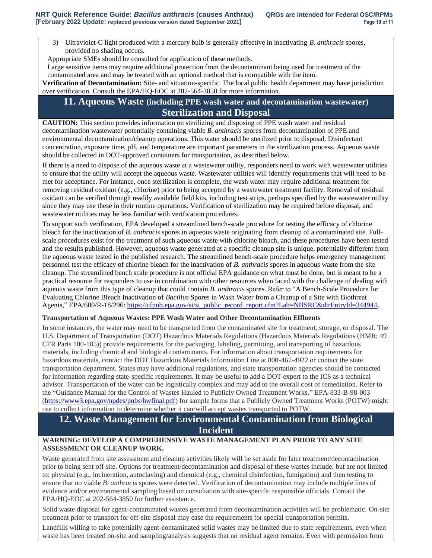3) Ultraviolet-C light produced with a mercury bulb is generally effective in inactivating *B. anthracis* spores, provided no shading occurs.

Appropriate SMEs should be consulted for application of these methods.

Large sensitive items may require additional protection from the decontaminant being used for treatment of the contaminated area and may be treated with an optional method that is compatible with the item.

**Verification of Decontamination:** Site- and situation-specific. The local public health department may have jurisdiction over verification. Consult the EPA/HQ-EOC at 202-564-3850 for more information.

## **11. Aqueous Waste (including PPE wash water and decontamination wastewater) Sterilization and Disposal**

**CAUTION:** This section provides information on sterilizing and disposing of PPE wash water and residual decontamination wastewater potentially containing viable *B. anthracis* spores from decontamination of PPE and environmental decontamination/cleanup operations. This water should be sterilized prior to disposal. Disinfectant concentration, exposure time, pH, and temperature are important parameters in the sterilization process. Aqueous waste should be collected in DOT-approved containers for transportation, as described below.

If there is a need to dispose of the aqueous waste at a wastewater utility, responders need to work with wastewater utilities to ensure that the utility will accept the aqueous waste. Wastewater utilities will identify requirements that will need to be met for acceptance. For instance, once sterilization is complete, the wash water may require additional treatment for removing residual oxidant (e.g., chlorine) prior to being accepted by a wastewater treatment facility. Removal of residual oxidant can be verified through readily available field kits, including test strips, perhaps specified by the wastewater utility since they may use these in their routine operations. Verification of sterilization may be required before disposal, and wastewater utilities may be less familiar with verification procedures.

To support such verification, EPA developed a streamlined bench-scale procedure for testing the efficacy of chlorine bleach for the inactivation of *B. anthracis* spores in aqueous waste originating from cleanup of a contaminated site. Fullscale procedures exist for the treatment of such aqueous waste with chlorine bleach, and these procedures have been tested and the results published. However, aqueous waste generated at a specific cleanup site is unique, potentially different from the aqueous waste tested in the published research. The streamlined bench-scale procedure helps emergency management personnel test the efficacy of chlorine bleach for the inactivation of *B. anthracis* spores in aqueous waste from the site cleanup. The streamlined bench scale procedure is not official EPA guidance on what must be done, but is meant to be a practical resource for responders to use in combination with other resources when faced with the challenge of dealing with aqueous waste from this type of cleanup that could contain *B. anthracis* spores. Refer to "A Bench-Scale Procedure for Evaluating Chlorine Bleach Inactivation of *Bacillus* Spores in Wash Water from a Cleanup of a Site with Biothreat Agents," EPA/600/R-18/296: [https://cfpub.epa.gov/si/si\\_public\\_record\\_report.cfm?Lab=NHSRC&dirEntryId=344944.](https://cfpub.epa.gov/si/si_public_record_report.cfm?Lab=NHSRC&dirEntryId=344944)

### **Transportation of Aqueous Wastes: PPE Wash Water and Other Decontamination Effluents**

In some instances, the water may need to be transported from the contaminated site for treatment, storage, or disposal. The U.S. Department of Transportation (DOT) Hazardous Materials Regulations (Hazardous Materials Regulations (HMR; 49 CFR Parts 100-185)) provide requirements for the packaging, labeling, permitting, and transporting of hazardous materials, including chemical and biological contaminants. For information about transportation requirements for hazardous materials, contact the DOT Hazardous Materials Information Line at 800-467-4922 or contact the state transportation department. States may have additional regulations, and state transportation agencies should be contacted for information regarding state-specific requirements. It may be useful to add a DOT expert to the ICS as a technical advisor. Transportation of the water can be logistically complex and may add to the overall cost of remediation. Refer to the "Guidance Manual for the Control of Wastes Hauled to Publicly Owned Treatment Works," EPA-833-B-98-003 [\(https://www3.epa.gov/npdes/pubs/hwfinal.pdf\)](https://www3.epa.gov/npdes/pubs/hwfinal.pdf) for sample forms that a Publicly Owned Treatment Works (POTW) might use to collect information to determine whether it can/will accept wastes transported to POTW.

# **12. Waste Management for Environmental Contamination from Biological Incident**

### **WARNING: DEVELOP A COMPREHENSIVE WASTE MANAGEMENT PLAN PRIOR TO ANY SITE ASSESSMENT OR CLEANUP WORK.**

Waste generated from site assessment and cleanup activities likely will be set aside for later treatment/decontamination prior to being sent off site. Options for treatment/decontamination and disposal of these wastes include, but are not limited to: physical (e.g., incineration, autoclaving) and chemical (e.g., chemical disinfection, fumigation) and then testing to ensure that no viable *B. anthracis* spores were detected. Verification of decontamination may include multiple lines of evidence and/or environmental sampling based on consultation with site-specific responsible officials. Contact the EPA/HQ-EOC at 202-564-3850 for further assistance.

Solid waste disposal for agent-contaminated wastes generated from decontamination activities will be problematic. On-site treatment prior to transport for off-site disposal may ease the requirements for special transportation permits.

Landfills willing to take potentially agent-contaminated solid wastes may be limited due to state requirements, even when waste has been treated on-site and sampling/analysis suggests that no residual agent remains. Even with permission from